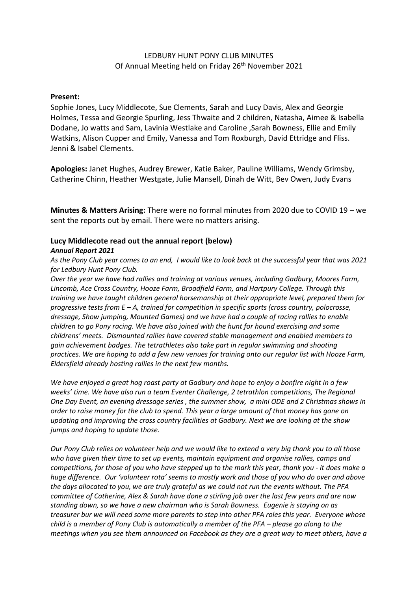## LEDBURY HUNT PONY CLUB MINUTES Of Annual Meeting held on Friday 26<sup>th</sup> November 2021

### **Present:**

Sophie Jones, Lucy Middlecote, Sue Clements, Sarah and Lucy Davis, Alex and Georgie Holmes, Tessa and Georgie Spurling, Jess Thwaite and 2 children, Natasha, Aimee & Isabella Dodane, Jo watts and Sam, Lavinia Westlake and Caroline ,Sarah Bowness, Ellie and Emily Watkins, Alison Cupper and Emily, Vanessa and Tom Roxburgh, David Ettridge and Fliss. Jenni & Isabel Clements.

**Apologies:** Janet Hughes, Audrey Brewer, Katie Baker, Pauline Williams, Wendy Grimsby, Catherine Chinn, Heather Westgate, Julie Mansell, Dinah de Witt, Bev Owen, Judy Evans

**Minutes & Matters Arising:** There were no formal minutes from 2020 due to COVID 19 – we sent the reports out by email. There were no matters arising.

# **Lucy Middlecote read out the annual report (below)**

### *Annual Report 2021*

*As the Pony Club year comes to an end, I would like to look back at the successful year that was 2021 for Ledbury Hunt Pony Club.*

*Over the year we have had rallies and training at various venues, including Gadbury, Moores Farm, Lincomb, Ace Cross Country, Hooze Farm, Broadfield Farm, and Hartpury College. Through this training we have taught children general horsemanship at their appropriate level, prepared them for progressive tests from E – A, trained for competition in specific sports (cross country, polocrosse, dressage, Show jumping, Mounted Games) and we have had a couple of racing rallies to enable children to go Pony racing. We have also joined with the hunt for hound exercising and some childrens' meets. Dismounted rallies have covered stable management and enabled members to gain achievement badges. The tetrathletes also take part in regular swimming and shooting practices. We are hoping to add a few new venues for training onto our regular list with Hooze Farm, Eldersfield already hosting rallies in the next few months.*

*We have enjoyed a great hog roast party at Gadbury and hope to enjoy a bonfire night in a few weeks' time. We have also run a team Eventer Challenge, 2 tetrathlon competitions, The Regional One Day Event, an evening dressage series , the summer show, a mini ODE and 2 Christmas shows in order to raise money for the club to spend. This year a large amount of that money has gone on updating and improving the cross country facilities at Gadbury. Next we are looking at the show jumps and hoping to update those.*

*Our Pony Club relies on volunteer help and we would like to extend a very big thank you to all those who have given their time to set up events, maintain equipment and organise rallies, camps and competitions, for those of you who have stepped up to the mark this year, thank you - it does make a huge difference. Our 'volunteer rota' seems to mostly work and those of you who do over and above the days allocated to you, we are truly grateful as we could not run the events without. The PFA committee of Catherine, Alex & Sarah have done a stirling job over the last few years and are now standing down, so we have a new chairman who is Sarah Bowness. Eugenie is staying on as treasurer bur we will need some more parents to step into other PFA roles this year. Everyone whose child is a member of Pony Club is automatically a member of the PFA – please go along to the meetings when you see them announced on Facebook as they are a great way to meet others, have a*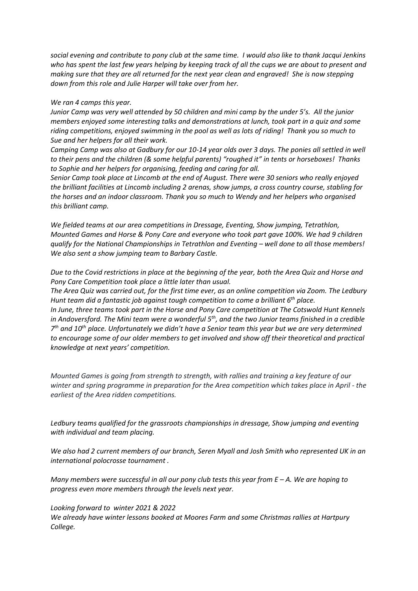*social evening and contribute to pony club at the same time. I would also like to thank Jacqui Jenkins who has spent the last few years helping by keeping track of all the cups we are about to present and making sure that they are all returned for the next year clean and engraved! She is now stepping down from this role and Julie Harper will take over from her.*

#### *We ran 4 camps this year.*

*Junior Camp was very well attended by 50 children and mini camp by the under 5's. All the junior members enjoyed some interesting talks and demonstrations at lunch, took part in a quiz and some riding competitions, enjoyed swimming in the pool as well as lots of riding! Thank you so much to Sue and her helpers for all their work.*

*Camping Camp was also at Gadbury for our 10-14 year olds over 3 days. The ponies all settled in well to their pens and the children (& some helpful parents) "roughed it" in tents or horseboxes! Thanks to Sophie and her helpers for organising, feeding and caring for all.*

*Senior Camp took place at Lincomb at the end of August. There were 30 seniors who really enjoyed the brilliant facilities at Lincomb including 2 arenas, show jumps, a cross country course, stabling for the horses and an indoor classroom. Thank you so much to Wendy and her helpers who organised this brilliant camp.*

*We fielded teams at our area competitions in Dressage, Eventing, Show jumping, Tetrathlon, Mounted Games and Horse & Pony Care and everyone who took part gave 100%. We had 9 children qualify for the National Championships in Tetrathlon and Eventing – well done to all those members! We also sent a show jumping team to Barbary Castle.* 

*Due to the Covid restrictions in place at the beginning of the year, both the Area Quiz and Horse and Pony Care Competition took place a little later than usual.*

*The Area Quiz was carried out, for the first time ever, as an online competition via Zoom. The Ledbury Hunt team did a fantastic job against tough competition to come a brilliant 6th place.*

*In June, three teams took part in the Horse and Pony Care competition at The Cotswold Hunt Kennels in Andoversford. The Mini team were a wonderful 5th, and the two Junior teams finished in a credible 7 th and 10th place. Unfortunately we didn't have a Senior team this year but we are very determined to encourage some of our older members to get involved and show off their theoretical and practical knowledge at next years' competition.*

*Mounted Games is going from strength to strength, with rallies and training a key feature of our winter and spring programme in preparation for the Area competition which takes place in April - the earliest of the Area ridden competitions.* 

*Ledbury teams qualified for the grassroots championships in dressage, Show jumping and eventing with individual and team placing.*

*We also had 2 current members of our branch, Seren Myall and Josh Smith who represented UK in an international polocrosse tournament .*

*Many members were successful in all our pony club tests this year from E – A. We are hoping to progress even more members through the levels next year.*

#### *Looking forward to winter 2021 & 2022*

*We already have winter lessons booked at Moores Farm and some Christmas rallies at Hartpury College.*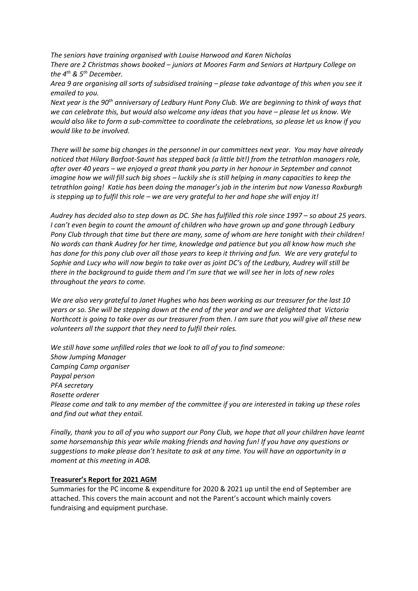*The seniors have training organised with Louise Harwood and Karen Nicholas There are 2 Christmas shows booked – juniors at Moores Farm and Seniors at Hartpury College on the 4th & 5th December.*

*Area 9 are organising all sorts of subsidised training – please take advantage of this when you see it emailed to you.*

*Next year is the 90th anniversary of Ledbury Hunt Pony Club. We are beginning to think of ways that we can celebrate this, but would also welcome any ideas that you have – please let us know. We would also like to form a sub-committee to coordinate the celebrations, so please let us know if you would like to be involved.*

*There will be some big changes in the personnel in our committees next year. You may have already noticed that Hilary Barfoot-Saunt has stepped back (a little bit!) from the tetrathlon managers role, after over 40 years – we enjoyed a great thank you party in her honour in September and cannot imagine how we will fill such big shoes – luckily she is still helping in many capacities to keep the tetrathlon going! Katie has been doing the manager's job in the interim but now Vanessa Roxburgh is stepping up to fulfil this role – we are very grateful to her and hope she will enjoy it!*

*Audrey has decided also to step down as DC. She has fulfilled this role since 1997 – so about 25 years. I can't even begin to count the amount of children who have grown up and gone through Ledbury Pony Club through that time but there are many, some of whom are here tonight with their children! No words can thank Audrey for her time, knowledge and patience but you all know how much she has done for this pony club over all those years to keep it thriving and fun. We are very grateful to Sophie and Lucy who will now begin to take over as joint DC's of the Ledbury, Audrey will still be there in the background to guide them and I'm sure that we will see her in lots of new roles throughout the years to come.*

*We are also very grateful to Janet Hughes who has been working as our treasurer for the last 10 years or so. She will be stepping down at the end of the year and we are delighted that Victoria Northcott is going to take over as our treasurer from then. I am sure that you will give all these new volunteers all the support that they need to fulfil their roles.*

*We still have some unfilled roles that we look to all of you to find someone: Show Jumping Manager Camping Camp organiser Paypal person PFA secretary Rosette orderer Please come and talk to any member of the committee if you are interested in taking up these roles and find out what they entail.*

*Finally, thank you to all of you who support our Pony Club, we hope that all your children have learnt some horsemanship this year while making friends and having fun! If you have any questions or suggestions to make please don't hesitate to ask at any time. You will have an opportunity in a moment at this meeting in AOB.*

### **Treasurer's Report for 2021 AGM**

Summaries for the PC income & expenditure for 2020 & 2021 up until the end of September are attached. This covers the main account and not the Parent's account which mainly covers fundraising and equipment purchase.